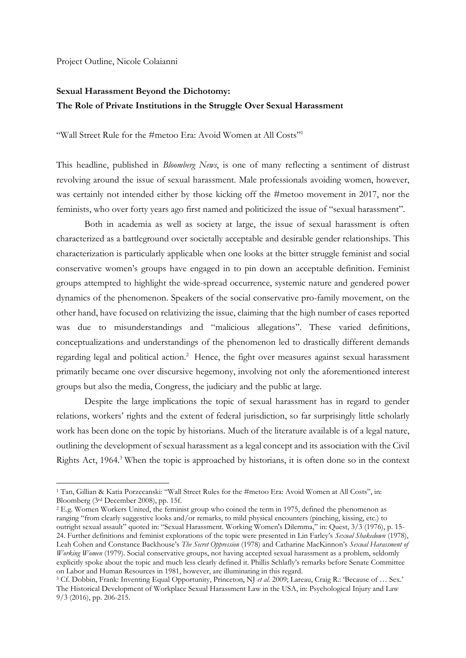Project Outline, Nicole Colaianni

## **Sexual Harassment Beyond the Dichotomy: The Role of Private Institutions in the Struggle Over Sexual Harassment**

"Wall Street Rule for the #metoo Era: Avoid Women at All Costs"<sup>1</sup>

This headline, published in *Bloomberg News*, is one of many reflecting a sentiment of distrust revolving around the issue of sexual harassment. Male professionals avoiding women, however, was certainly not intended either by those kicking off the #metoo movement in 2017, nor the feminists, who over forty years ago first named and politicized the issue of "sexual harassment".

Both in academia as well as society at large, the issue of sexual harassment is often characterized as a battleground over societally acceptable and desirable gender relationships. This characterization is particularly applicable when one looks at the bitter struggle feminist and social conservative women's groups have engaged in to pin down an acceptable definition. Feminist groups attempted to highlight the wide-spread occurrence, systemic nature and gendered power dynamics of the phenomenon. Speakers of the social conservative pro-family movement, on the other hand, have focused on relativizing the issue, claiming that the high number of cases reported was due to misunderstandings and "malicious allegations". These varied definitions, conceptualizations and understandings of the phenomenon led to drastically different demands regarding legal and political action.<sup>2</sup> Hence, the fight over measures against sexual harassment primarily became one over discursive hegemony, involving not only the aforementioned interest groups but also the media, Congress, the judiciary and the public at large.

Despite the large implications the topic of sexual harassment has in regard to gender relations, workers' rights and the extent of federal jurisdiction, so far surprisingly little scholarly work has been done on the topic by historians. Much of the literature available is of a legal nature, outlining the development of sexual harassment as a legal concept and its association with the Civil Rights Act, 1964. <sup>3</sup> When the topic is approached by historians, it is often done so in the context

<sup>1</sup> Tan, Gillian & Katia Porzecanski: "Wall Street Rules for the #metoo Era: Avoid Women at All Costs", in: Bloomberg (3rd December 2008), pp. 15f.

<sup>&</sup>lt;sup>2</sup> E.g. Women Workers United, the feminist group who coined the term in 1975, defined the phenomenon as ranging "from clearly suggestive looks and/or remarks, to mild physical encounters (pinching, kissing, etc.) to outright sexual assault" quoted in: "Sexual Harassment. Working Women's Dilemma," in: Quest, 3/3 (1976), p. 15- 24. Further definitions and feminist explorations of the topic were presented in Lin Farley's *Sexual Shakedown* (1978), Leah Cohen and Constance Backhouse's *The Secret Oppression* (1978) and Catharine MacKinnon's *Sexual Harassment of Working Women* (1979). Social conservative groups, not having accepted sexual harassment as a problem, seldomly explicitly spoke about the topic and much less clearly defined it. Phillis Schlafly's remarks before Senate Committee on Labor and Human Resources in 1981, however, are illuminating in this regard.

<sup>&</sup>lt;sup>3</sup> Cf. Dobbin, Frank: Inventing Equal Opportunity, Princeton, NJ *et al.* 2009; Lareau, Craig R.: 'Because of ... Sex.' The Historical Development of Workplace Sexual Harassment Law in the USA, in: Psychological Injury and Law 9/3 (2016), pp. 206-215.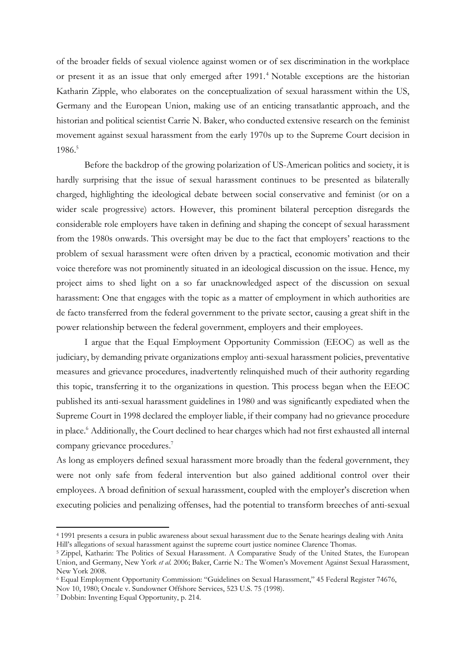of the broader fields of sexual violence against women or of sex discrimination in the workplace or present it as an issue that only emerged after 1991. <sup>4</sup> Notable exceptions are the historian Katharin Zipple, who elaborates on the conceptualization of sexual harassment within the US, Germany and the European Union, making use of an enticing transatlantic approach, and the historian and political scientist Carrie N. Baker, who conducted extensive research on the feminist movement against sexual harassment from the early 1970s up to the Supreme Court decision in 1986. 5

Before the backdrop of the growing polarization of US-American politics and society, it is hardly surprising that the issue of sexual harassment continues to be presented as bilaterally charged, highlighting the ideological debate between social conservative and feminist (or on a wider scale progressive) actors. However, this prominent bilateral perception disregards the considerable role employers have taken in defining and shaping the concept of sexual harassment from the 1980s onwards. This oversight may be due to the fact that employers' reactions to the problem of sexual harassment were often driven by a practical, economic motivation and their voice therefore was not prominently situated in an ideological discussion on the issue. Hence, my project aims to shed light on a so far unacknowledged aspect of the discussion on sexual harassment: One that engages with the topic as a matter of employment in which authorities are de facto transferred from the federal government to the private sector, causing a great shift in the power relationship between the federal government, employers and their employees.

I argue that the Equal Employment Opportunity Commission (EEOC) as well as the judiciary, by demanding private organizations employ anti-sexual harassment policies, preventative measures and grievance procedures, inadvertently relinquished much of their authority regarding this topic, transferring it to the organizations in question. This process began when the EEOC published its anti-sexual harassment guidelines in 1980 and was significantly expediated when the Supreme Court in 1998 declared the employer liable, if their company had no grievance procedure in place.<sup>6</sup> Additionally, the Court declined to hear charges which had not first exhausted all internal company grievance procedures.<sup>7</sup>

As long as employers defined sexual harassment more broadly than the federal government, they were not only safe from federal intervention but also gained additional control over their employees. A broad definition of sexual harassment, coupled with the employer's discretion when executing policies and penalizing offenses, had the potential to transform breeches of anti-sexual

<sup>4</sup> 1991 presents a cesura in public awareness about sexual harassment due to the Senate hearings dealing with Anita Hill's allegations of sexual harassment against the supreme court justice nominee Clarence Thomas.

<sup>5</sup> Zippel, Katharin: The Politics of Sexual Harassment. A Comparative Study of the United States, the European Union, and Germany, New York *et al.* 2006; Baker, Carrie N.: The Women's Movement Against Sexual Harassment, New York 2008.

<sup>6</sup> Equal Employment Opportunity Commission: "Guidelines on Sexual Harassment," 45 Federal Register 74676,

Nov 10, 1980; Oncale v. Sundowner Offshore Services, 523 U.S. 75 (1998).

<sup>7</sup> Dobbin: Inventing Equal Opportunity, p. 214.